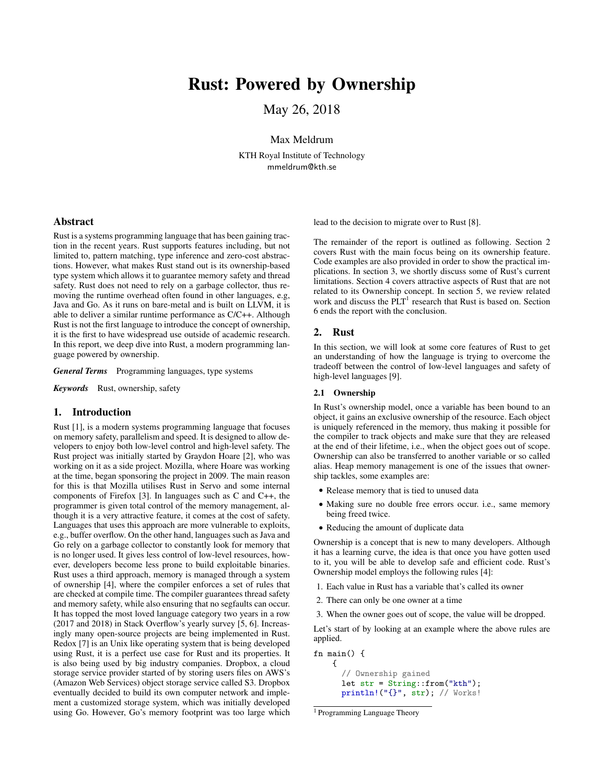# Rust: Powered by Ownership

May 26, 2018

Max Meldrum

KTH Royal Institute of Technology mmeldrum@kth.se

# Abstract

Rust is a systems programming language that has been gaining traction in the recent years. Rust supports features including, but not limited to, pattern matching, type inference and zero-cost abstractions. However, what makes Rust stand out is its ownership-based type system which allows it to guarantee memory safety and thread safety. Rust does not need to rely on a garbage collector, thus removing the runtime overhead often found in other languages, e.g, Java and Go. As it runs on bare-metal and is built on LLVM, it is able to deliver a similar runtime performance as C/C++. Although Rust is not the first language to introduce the concept of ownership, it is the first to have widespread use outside of academic research. In this report, we deep dive into Rust, a modern programming language powered by ownership.

*General Terms* Programming languages, type systems

*Keywords* Rust, ownership, safety

## 1. Introduction

Rust [1], is a modern systems programming language that focuses on memory safety, parallelism and speed. It is designed to allow developers to enjoy both low-level control and high-level safety. The Rust project was initially started by Graydon Hoare [2], who was working on it as a side project. Mozilla, where Hoare was working at the time, began sponsoring the project in 2009. The main reason for this is that Mozilla utilises Rust in Servo and some internal components of Firefox [3]. In languages such as C and C++, the programmer is given total control of the memory management, although it is a very attractive feature, it comes at the cost of safety. Languages that uses this approach are more vulnerable to exploits, e.g., buffer overflow. On the other hand, languages such as Java and Go rely on a garbage collector to constantly look for memory that is no longer used. It gives less control of low-level resources, however, developers become less prone to build exploitable binaries. Rust uses a third approach, memory is managed through a system of ownership [4], where the compiler enforces a set of rules that are checked at compile time. The compiler guarantees thread safety and memory safety, while also ensuring that no segfaults can occur. It has topped the most loved language category two years in a row (2017 and 2018) in Stack Overflow's yearly survey [5, 6]. Increasingly many open-source projects are being implemented in Rust. Redox [7] is an Unix like operating system that is being developed using Rust, it is a perfect use case for Rust and its properties. It is also being used by big industry companies. Dropbox, a cloud storage service provider started of by storing users files on AWS's (Amazon Web Services) object storage service called S3. Dropbox eventually decided to build its own computer network and implement a customized storage system, which was initially developed using Go. However, Go's memory footprint was too large which lead to the decision to migrate over to Rust [8].

The remainder of the report is outlined as following. Section 2 covers Rust with the main focus being on its ownership feature. Code examples are also provided in order to show the practical implications. In section 3, we shortly discuss some of Rust's current limitations. Section 4 covers attractive aspects of Rust that are not related to its Ownership concept. In section 5, we review related work and discuss the  $PLT<sup>1</sup>$  research that Rust is based on. Section 6 ends the report with the conclusion.

## 2. Rust

In this section, we will look at some core features of Rust to get an understanding of how the language is trying to overcome the tradeoff between the control of low-level languages and safety of high-level languages [9].

## 2.1 Ownership

In Rust's ownership model, once a variable has been bound to an object, it gains an exclusive ownership of the resource. Each object is uniquely referenced in the memory, thus making it possible for the compiler to track objects and make sure that they are released at the end of their lifetime, i.e., when the object goes out of scope. Ownership can also be transferred to another variable or so called alias. Heap memory management is one of the issues that ownership tackles, some examples are:

- Release memory that is tied to unused data
- Making sure no double free errors occur. i.e., same memory being freed twice.
- Reducing the amount of duplicate data

Ownership is a concept that is new to many developers. Although it has a learning curve, the idea is that once you have gotten used to it, you will be able to develop safe and efficient code. Rust's Ownership model employs the following rules [4]:

- 1. Each value in Rust has a variable that's called its owner
- 2. There can only be one owner at a time
- 3. When the owner goes out of scope, the value will be dropped.

Let's start of by looking at an example where the above rules are applied.

fn main() { { // Ownership gained let str = String::from("kth"); println!("{}", str); // Works!

<sup>1</sup> Programming Language Theory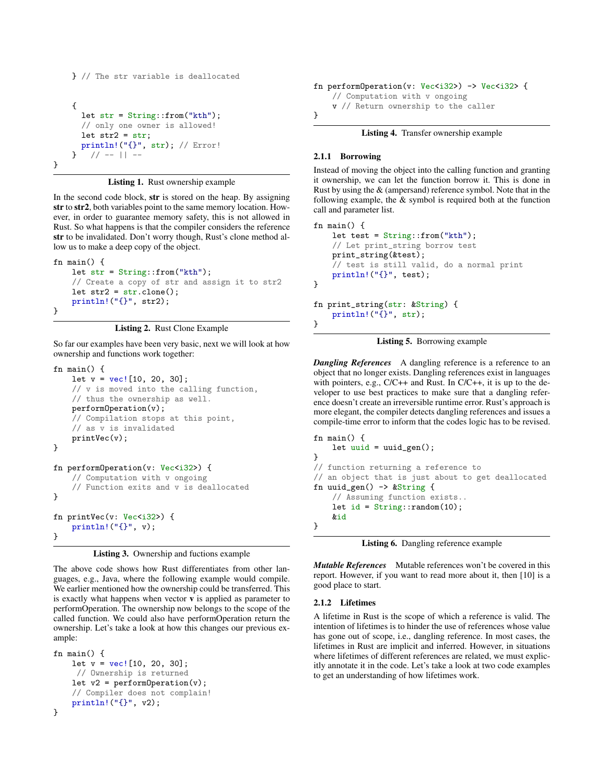```
} // The str variable is deallocated
    {
      let str = String::from("kth");
      // only one owner is allowed!
      let str2 = str;println!("{}", str); // Error!
        // - - || -}
```
Listing 1. Rust ownership example

In the second code block, str is stored on the heap. By assigning str to str2, both variables point to the same memory location. However, in order to guarantee memory safety, this is not allowed in Rust. So what happens is that the compiler considers the reference str to be invalidated. Don't worry though, Rust's clone method allow us to make a deep copy of the object.

```
fn main() {
    let str = String::from("kth");
    // Create a copy of str and assign it to str2
    let str2 = str.close();
    println!("{}", str2);
}
```


So far our examples have been very basic, next we will look at how ownership and functions work together:

```
fn main() {
    let v = vec/[10, 20, 30];// v is moved into the calling function,
    // thus the ownership as well.
    performOperation(v);
    // Compilation stops at this point,
    // as v is invalidated
    printVec(v);
}
fn performOperation(v: Vec<i32>) {
    // Computation with v ongoing
    // Function exits and v is deallocated
}
fn printVec(v: Vec<i32>) {
    println!("{}", v);
}
```
Listing 3. Ownership and fuctions example

The above code shows how Rust differentiates from other languages, e.g., Java, where the following example would compile. We earlier mentioned how the ownership could be transferred. This is exactly what happens when vector  $\bf{v}$  is applied as parameter to performOperation. The ownership now belongs to the scope of the called function. We could also have performOperation return the ownership. Let's take a look at how this changes our previous example:

```
fn main() {
    let v = vec/[10, 20, 30];
     // Ownership is returned
    let v2 = pertormOperation(v);
    // Compiler does not complain!
    println!("{}", v2);
}
```

```
fn performOperation(v: Vec<i32>) -> Vec<i32> {
    // Computation with v ongoing
    v // Return ownership to the caller
}
```
Listing 4. Transfer ownership example

## 2.1.1 Borrowing

Instead of moving the object into the calling function and granting it ownership, we can let the function borrow it. This is done in Rust by using the & (ampersand) reference symbol. Note that in the following example, the & symbol is required both at the function call and parameter list.

```
fn main() {
    let test = String::from("kth");
    // Let print_string borrow test
    print_string(&test);
    // test is still valid, do a normal print
    println!("{}", test);
}
fn print_string(str: &String) {
    println!("{}", str);
}
```


*Dangling References* A dangling reference is a reference to an object that no longer exists. Dangling references exist in languages with pointers, e.g., C/C++ and Rust. In C/C++, it is up to the developer to use best practices to make sure that a dangling reference doesn't create an irreversible runtime error. Rust's approach is more elegant, the compiler detects dangling references and issues a compile-time error to inform that the codes logic has to be revised.

```
fn main() {
    let uuid = uuid\_gen();
}
// function returning a reference to
// an object that is just about to get deallocated
fn uuid_gen() -> &String {
    // Assuming function exists..
    let id = String::random(10);&id
}
```
Listing 6. Dangling reference example

*Mutable References* Mutable references won't be covered in this report. However, if you want to read more about it, then [10] is a good place to start.

## 2.1.2 Lifetimes

A lifetime in Rust is the scope of which a reference is valid. The intention of lifetimes is to hinder the use of references whose value has gone out of scope, i.e., dangling reference. In most cases, the lifetimes in Rust are implicit and inferred. However, in situations where lifetimes of different references are related, we must explicitly annotate it in the code. Let's take a look at two code examples to get an understanding of how lifetimes work.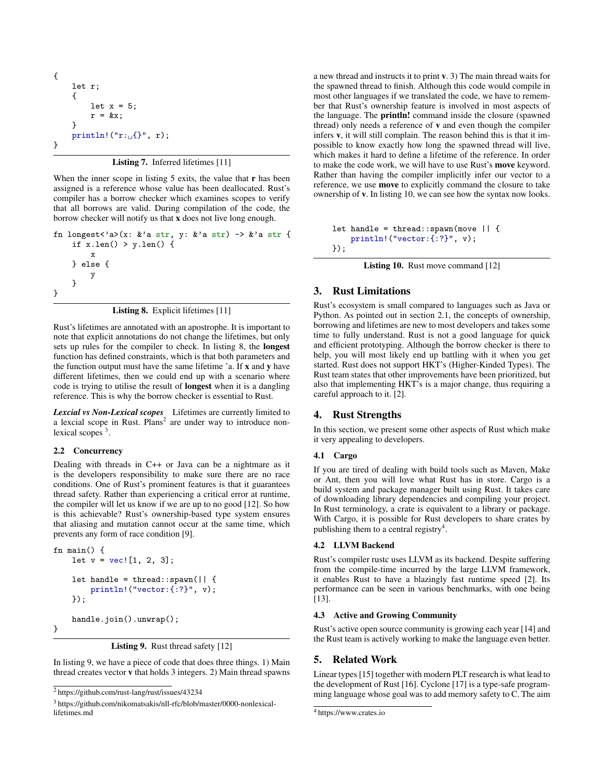$$
\begin{array}{ll}\n\text{Set } r; \\
\text{Set } x = 5; \\
\text{Set } x = kx; \\
\text{print1!}(\text{Tr}_{\text{tr}}(f^*, r));\n\end{array}
$$

Listing 7. Inferred lifetimes [11]

When the inner scope in listing 5 exits, the value that r has been assigned is a reference whose value has been deallocated. Rust's compiler has a borrow checker which examines scopes to verify that all borrows are valid. During compilation of the code, the borrow checker will notify us that x does not live long enough.

```
fn longest<'a>(x: &'a str, y: &'a str) -> &'a str {
    if x.length() > y.length() {
        x
    } else {
        y
    }
}
```
Listing 8. Explicit lifetimes [11]

Rust's lifetimes are annotated with an apostrophe. It is important to note that explicit annotations do not change the lifetimes, but only sets up rules for the compiler to check. In listing 8, the longest function has defined constraints, which is that both parameters and the function output must have the same lifetime 'a. If x and y have different lifetimes, then we could end up with a scenario where code is trying to utilise the result of longest when it is a dangling reference. This is why the borrow checker is essential to Rust.

*Lexcial vs Non-Lexical scopes* Lifetimes are currently limited to a lexcial scope in Rust. Plans<sup>2</sup> are under way to introduce nonlexical scopes<sup>3</sup>.

#### 2.2 Concurrency

Dealing with threads in C++ or Java can be a nightmare as it is the developers responsibility to make sure there are no race conditions. One of Rust's prominent features is that it guarantees thread safety. Rather than experiencing a critical error at runtime, the compiler will let us know if we are up to no good [12]. So how is this achievable? Rust's ownership-based type system ensures that aliasing and mutation cannot occur at the same time, which prevents any form of race condition [9].

```
fn main() {
   let v = vec.[1, 2, 3];let handle = thread::spawn(|| {
        println!("vector:{:?}", v);
    });
    handle.join().unwrap();
```
}

```
Listing 9. Rust thread safety [12]
```
In listing 9, we have a piece of code that does three things. 1) Main thread creates vector v that holds 3 integers. 2) Main thread spawns a new thread and instructs it to print v. 3) The main thread waits for the spawned thread to finish. Although this code would compile in most other languages if we translated the code, we have to remember that Rust's ownership feature is involved in most aspects of the language. The println! command inside the closure (spawned thread) only needs a reference of v and even though the compiler infers v, it will still complain. The reason behind this is that it impossible to know exactly how long the spawned thread will live, which makes it hard to define a lifetime of the reference. In order to make the code work, we will have to use Rust's move keyword. Rather than having the compiler implicitly infer our vector to a reference, we use move to explicitly command the closure to take ownership of v. In listing 10, we can see how the syntax now looks.

```
let handle = thread::span(move || fprintln!("vector:{:?}", v);
});
```

```
Listing 10. Rust move command [12]
```
# 3. Rust Limitations

Rust's ecosystem is small compared to languages such as Java or Python. As pointed out in section 2.1, the concepts of ownership, borrowing and lifetimes are new to most developers and takes some time to fully understand. Rust is not a good language for quick and efficient prototyping. Although the borrow checker is there to help, you will most likely end up battling with it when you get started. Rust does not support HKT's (Higher-Kinded Types). The Rust team states that other improvements have been prioritized, but also that implementing HKT's is a major change, thus requiring a careful approach to it. [2].

# 4. Rust Strengths

In this section, we present some other aspects of Rust which make it very appealing to developers.

## 4.1 Cargo

If you are tired of dealing with build tools such as Maven, Make or Ant, then you will love what Rust has in store. Cargo is a build system and package manager built using Rust. It takes care of downloading library dependencies and compiling your project. In Rust terminology, a crate is equivalent to a library or package. With Cargo, it is possible for Rust developers to share crates by publishing them to a central registry<sup>4</sup>.

#### 4.2 LLVM Backend

Rust's compiler rustc uses LLVM as its backend. Despite suffering from the compile-time incurred by the large LLVM framework, it enables Rust to have a blazingly fast runtime speed [2]. Its performance can be seen in various benchmarks, with one being [13].

## 4.3 Active and Growing Community

Rust's active open source community is growing each year [14] and the Rust team is actively working to make the language even better.

# 5. Related Work

Linear types [15] together with modern PLT research is what lead to the development of Rust [16]. Cyclone [17] is a type-safe programming language whose goal was to add memory safety to C. The aim

<sup>2</sup> https://github.com/rust-lang/rust/issues/43234

<sup>3</sup> https://github.com/nikomatsakis/nll-rfc/blob/master/0000-nonlexicallifetimes.md

<sup>4</sup> https://www.crates.io